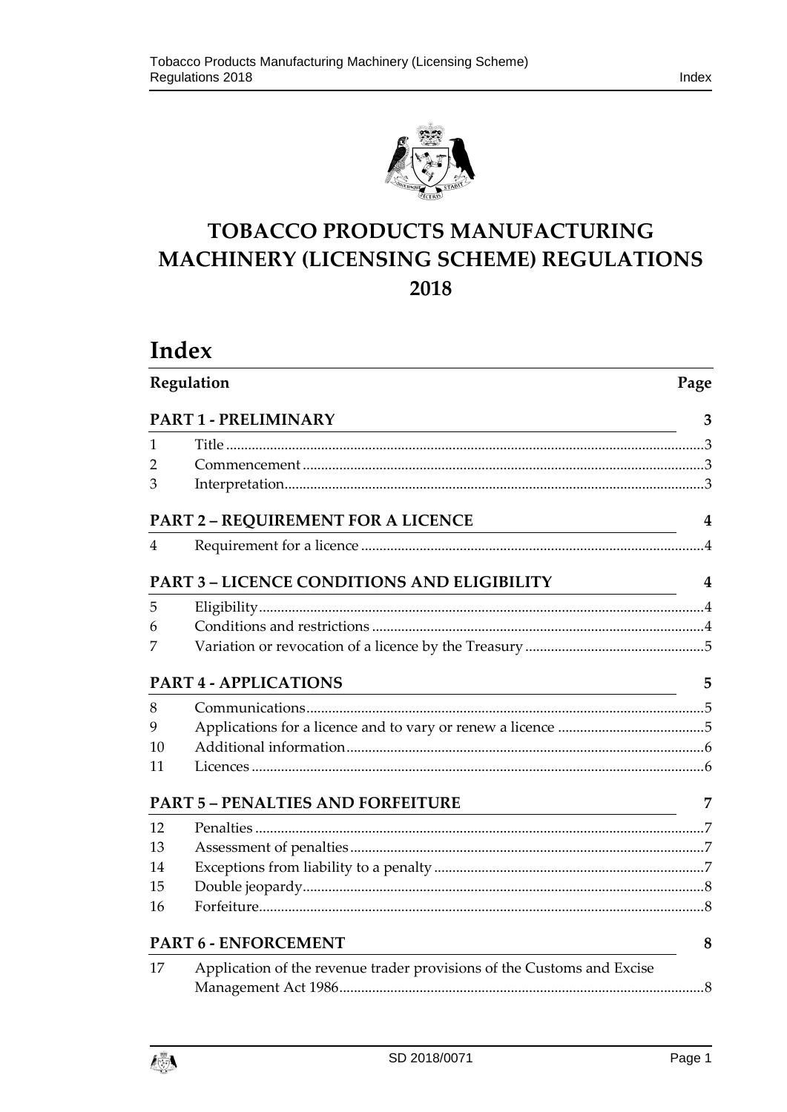

# **TOBACCO PRODUCTS MANUFACTURING MACHINERY (LICENSING SCHEME) REGULATIONS 2018**

# **Index**

| Regulation<br>PART 1 - PRELIMINARY |                                                                                                                                                                   | Page |  |
|------------------------------------|-------------------------------------------------------------------------------------------------------------------------------------------------------------------|------|--|
|                                    |                                                                                                                                                                   | 3    |  |
| 1                                  |                                                                                                                                                                   |      |  |
| 2                                  |                                                                                                                                                                   |      |  |
| 3                                  |                                                                                                                                                                   |      |  |
|                                    | PART 2 – REQUIREMENT FOR A LICENCE                                                                                                                                | 4    |  |
| 4                                  |                                                                                                                                                                   |      |  |
|                                    | <b>PART 3 - LICENCE CONDITIONS AND ELIGIBILITY</b>                                                                                                                | 4    |  |
| 5                                  |                                                                                                                                                                   |      |  |
| 6                                  |                                                                                                                                                                   |      |  |
| 7                                  |                                                                                                                                                                   |      |  |
|                                    | <b>PART 4 - APPLICATIONS</b>                                                                                                                                      | 5    |  |
| 8                                  |                                                                                                                                                                   |      |  |
| 9                                  |                                                                                                                                                                   |      |  |
| 10                                 |                                                                                                                                                                   |      |  |
| 11                                 |                                                                                                                                                                   |      |  |
|                                    | <b>PART 5 - PENALTIES AND FORFEITURE</b><br><u> 1989 - Johann Barbara, martin amerikan basar dan basa dan basa dan basa dalam basa dalam basa dalam basa dala</u> | 7    |  |
| 12                                 |                                                                                                                                                                   |      |  |
| 13                                 |                                                                                                                                                                   |      |  |
| 14                                 |                                                                                                                                                                   |      |  |
| 15                                 |                                                                                                                                                                   |      |  |
| 16                                 |                                                                                                                                                                   |      |  |
|                                    | <b>PART 6 - ENFORCEMENT</b>                                                                                                                                       | 8    |  |
| 17                                 | Application of the revenue trader provisions of the Customs and Excise                                                                                            |      |  |

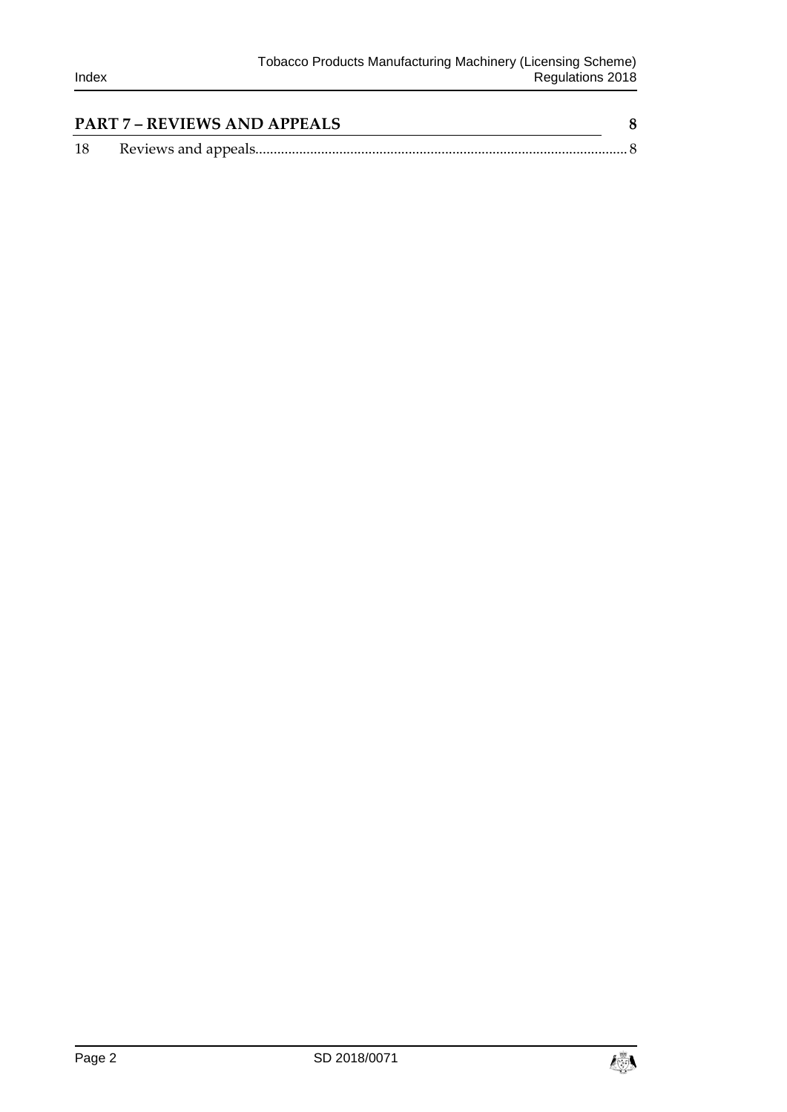|    | <b>PART 7 - REVIEWS AND APPEALS</b> |  |
|----|-------------------------------------|--|
| 18 |                                     |  |

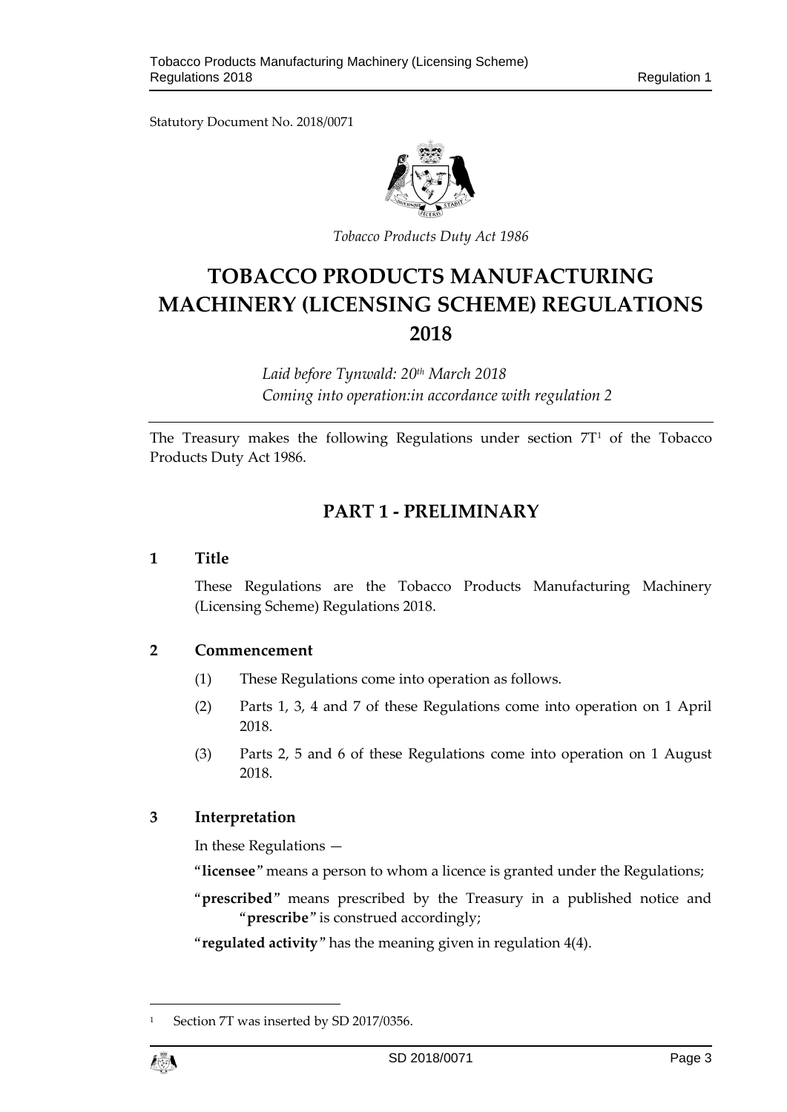Statutory Document No. 2018/0071



*Tobacco Products Duty Act 1986*

# **TOBACCO PRODUCTS MANUFACTURING MACHINERY (LICENSING SCHEME) REGULATIONS 2018**

*Laid before Tynwald: 20th March 2018 Coming into operation:in accordance with regulation 2*

<span id="page-2-0"></span>The Treasury makes the following Regulations under section  $7T<sup>1</sup>$  of the Tobacco Products Duty Act 1986.

# **PART 1 - PRELIMINARY**

#### <span id="page-2-1"></span>**1 Title**

These Regulations are the Tobacco Products Manufacturing Machinery (Licensing Scheme) Regulations 2018.

## <span id="page-2-2"></span>**2 Commencement**

- (1) These Regulations come into operation as follows.
- (2) Parts 1, 3, 4 and 7 of these Regulations come into operation on 1 April 2018.
- (3) Parts 2, 5 and 6 of these Regulations come into operation on 1 August 2018.

## <span id="page-2-3"></span>**3 Interpretation**

In these Regulations —

"**licensee**" means a person to whom a licence is granted under the Regulations;

"**prescribed**" means prescribed by the Treasury in a published notice and "**prescribe**" is construed accordingly;

"**regulated activity**" has the meaning given in regulation 4(4).

1

Section 7T was inserted by SD 2017/0356.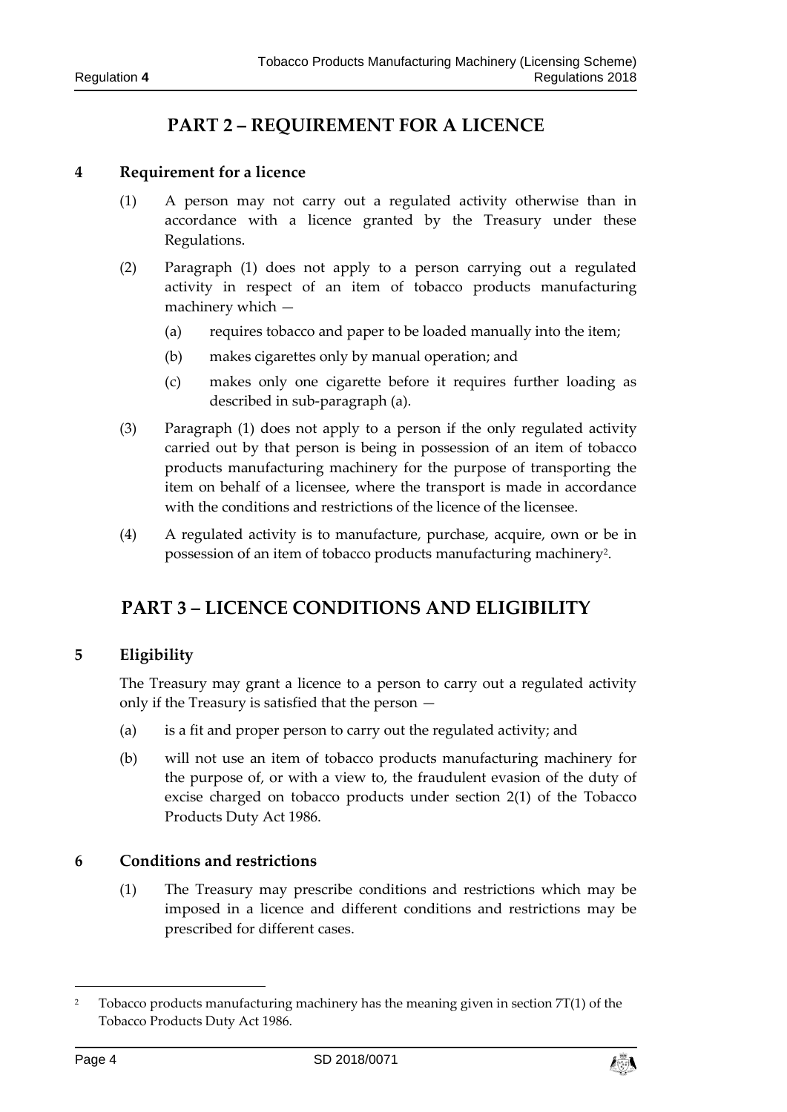# **PART 2 – REQUIREMENT FOR A LICENCE**

#### <span id="page-3-1"></span><span id="page-3-0"></span>**4 Requirement for a licence**

- (1) A person may not carry out a regulated activity otherwise than in accordance with a licence granted by the Treasury under these Regulations.
- (2) Paragraph (1) does not apply to a person carrying out a regulated activity in respect of an item of tobacco products manufacturing machinery which —
	- (a) requires tobacco and paper to be loaded manually into the item;
	- (b) makes cigarettes only by manual operation; and
	- (c) makes only one cigarette before it requires further loading as described in sub-paragraph (a).
- (3) Paragraph (1) does not apply to a person if the only regulated activity carried out by that person is being in possession of an item of tobacco products manufacturing machinery for the purpose of transporting the item on behalf of a licensee, where the transport is made in accordance with the conditions and restrictions of the licence of the licensee.
- <span id="page-3-2"></span>(4) A regulated activity is to manufacture, purchase, acquire, own or be in possession of an item of tobacco products manufacturing machinery<sup>2</sup>.

# **PART 3 – LICENCE CONDITIONS AND ELIGIBILITY**

## <span id="page-3-3"></span>**5 Eligibility**

The Treasury may grant a licence to a person to carry out a regulated activity only if the Treasury is satisfied that the person —

- (a) is a fit and proper person to carry out the regulated activity; and
- (b) will not use an item of tobacco products manufacturing machinery for the purpose of, or with a view to, the fraudulent evasion of the duty of excise charged on tobacco products under section 2(1) of the Tobacco Products Duty Act 1986.

#### <span id="page-3-4"></span>**6 Conditions and restrictions**

(1) The Treasury may prescribe conditions and restrictions which may be imposed in a licence and different conditions and restrictions may be prescribed for different cases.

1



<sup>&</sup>lt;sup>2</sup> Tobacco products manufacturing machinery has the meaning given in section  $7T(1)$  of the Tobacco Products Duty Act 1986.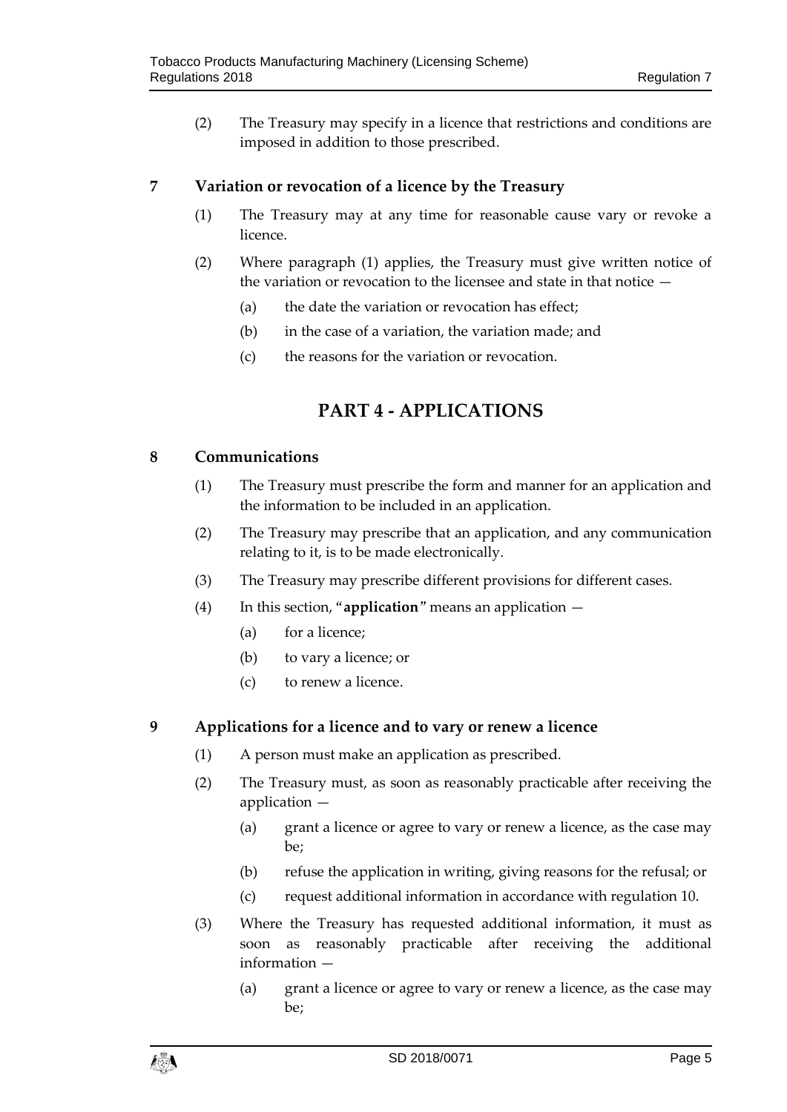(2) The Treasury may specify in a licence that restrictions and conditions are imposed in addition to those prescribed.

## <span id="page-4-0"></span>**7 Variation or revocation of a licence by the Treasury**

- (1) The Treasury may at any time for reasonable cause vary or revoke a licence.
- (2) Where paragraph (1) applies, the Treasury must give written notice of the variation or revocation to the licensee and state in that notice —
	- (a) the date the variation or revocation has effect;
	- (b) in the case of a variation, the variation made; and
	- (c) the reasons for the variation or revocation.

# **PART 4 - APPLICATIONS**

## <span id="page-4-2"></span><span id="page-4-1"></span>**8 Communications**

- (1) The Treasury must prescribe the form and manner for an application and the information to be included in an application.
- (2) The Treasury may prescribe that an application, and any communication relating to it, is to be made electronically.
- (3) The Treasury may prescribe different provisions for different cases.
- (4) In this section, "**application**" means an application
	- (a) for a licence;
	- (b) to vary a licence; or
	- (c) to renew a licence.

## <span id="page-4-3"></span>**9 Applications for a licence and to vary or renew a licence**

- (1) A person must make an application as prescribed.
- (2) The Treasury must, as soon as reasonably practicable after receiving the application —
	- (a) grant a licence or agree to vary or renew a licence, as the case may be;
	- (b) refuse the application in writing, giving reasons for the refusal; or
	- (c) request additional information in accordance with regulation 10.
- (3) Where the Treasury has requested additional information, it must as soon as reasonably practicable after receiving the additional information —
	- (a) grant a licence or agree to vary or renew a licence, as the case may be;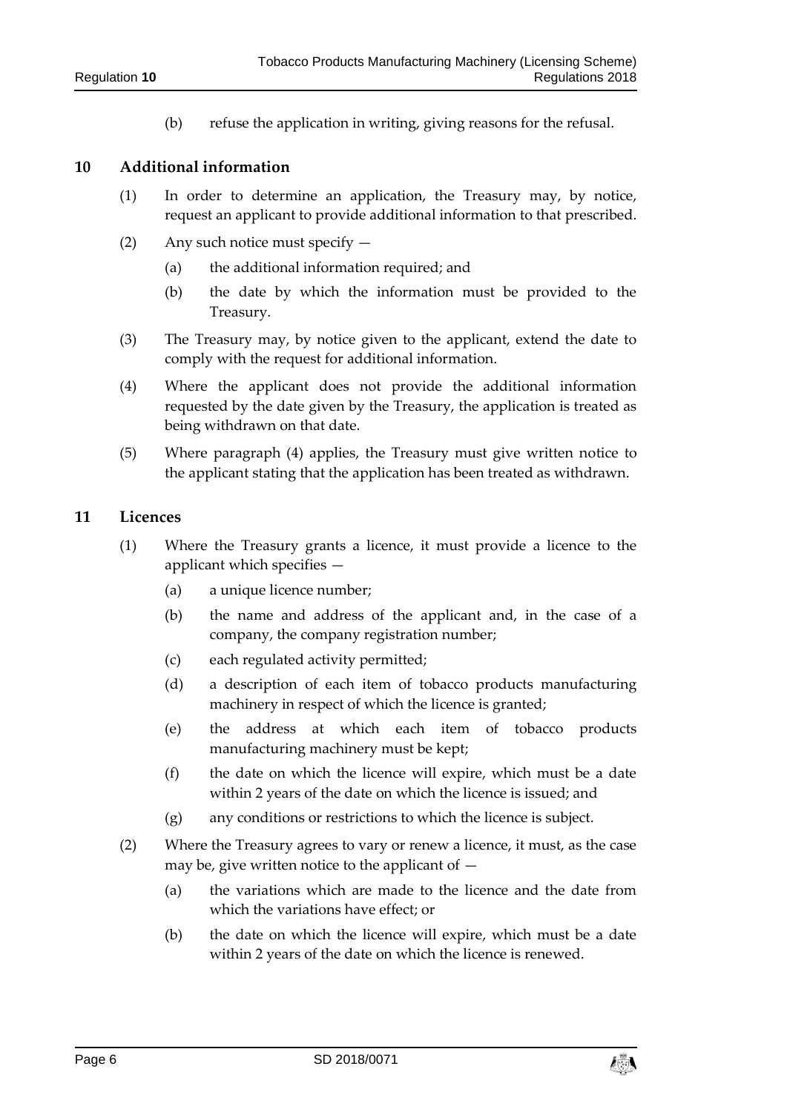(b) refuse the application in writing, giving reasons for the refusal.

#### <span id="page-5-0"></span>**10 Additional information**

- (1) In order to determine an application, the Treasury may, by notice, request an applicant to provide additional information to that prescribed.
- (2) Any such notice must specify
	- (a) the additional information required; and
	- (b) the date by which the information must be provided to the Treasury.
- (3) The Treasury may, by notice given to the applicant, extend the date to comply with the request for additional information.
- (4) Where the applicant does not provide the additional information requested by the date given by the Treasury, the application is treated as being withdrawn on that date.
- (5) Where paragraph (4) applies, the Treasury must give written notice to the applicant stating that the application has been treated as withdrawn.

#### <span id="page-5-1"></span>**11 Licences**

- (1) Where the Treasury grants a licence, it must provide a licence to the applicant which specifies —
	- (a) a unique licence number;
	- (b) the name and address of the applicant and, in the case of a company, the company registration number;
	- (c) each regulated activity permitted;
	- (d) a description of each item of tobacco products manufacturing machinery in respect of which the licence is granted;
	- (e) the address at which each item of tobacco products manufacturing machinery must be kept;
	- (f) the date on which the licence will expire, which must be a date within 2 years of the date on which the licence is issued; and
	- (g) any conditions or restrictions to which the licence is subject.
- (2) Where the Treasury agrees to vary or renew a licence, it must, as the case may be, give written notice to the applicant of  $-$ 
	- (a) the variations which are made to the licence and the date from which the variations have effect; or
	- (b) the date on which the licence will expire, which must be a date within 2 years of the date on which the licence is renewed.

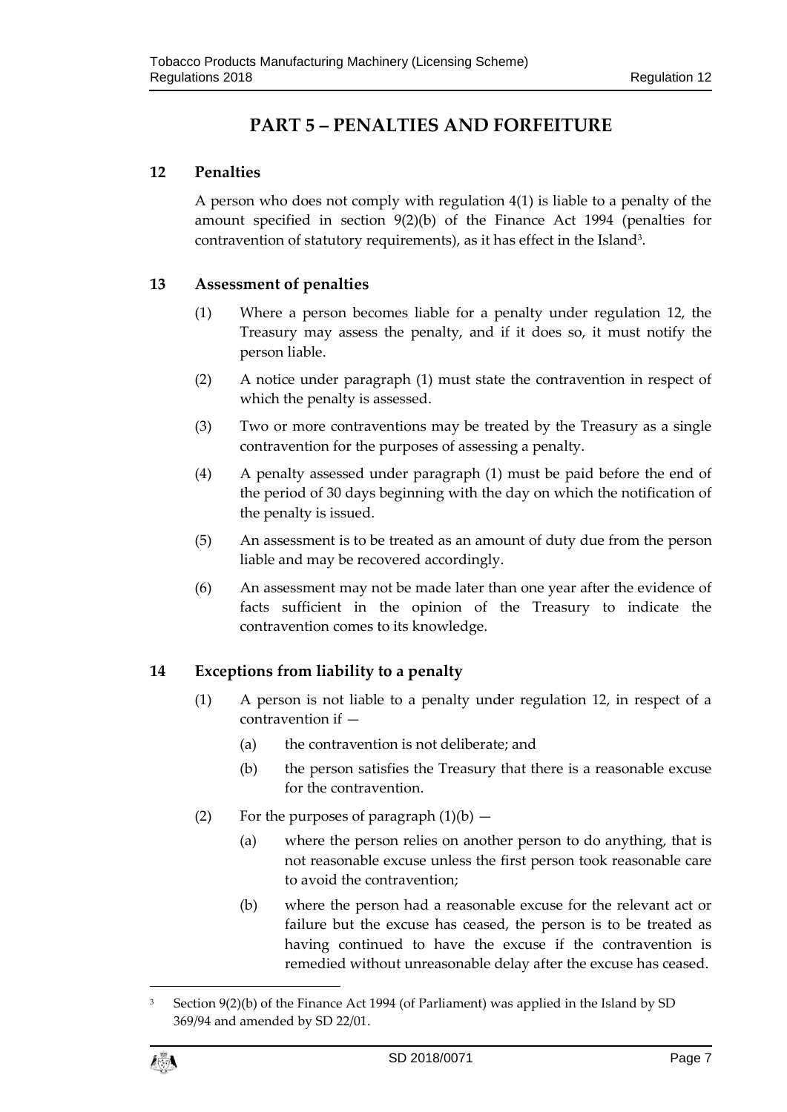# **PART 5 – PENALTIES AND FORFEITURE**

# <span id="page-6-1"></span><span id="page-6-0"></span>**12 Penalties**

A person who does not comply with regulation 4(1) is liable to a penalty of the amount specified in section 9(2)(b) of the Finance Act 1994 (penalties for contravention of statutory requirements), as it has effect in the Island<sup>3</sup>.

# <span id="page-6-2"></span>**13 Assessment of penalties**

- (1) Where a person becomes liable for a penalty under regulation 12, the Treasury may assess the penalty, and if it does so, it must notify the person liable.
- (2) A notice under paragraph (1) must state the contravention in respect of which the penalty is assessed.
- (3) Two or more contraventions may be treated by the Treasury as a single contravention for the purposes of assessing a penalty.
- (4) A penalty assessed under paragraph (1) must be paid before the end of the period of 30 days beginning with the day on which the notification of the penalty is issued.
- (5) An assessment is to be treated as an amount of duty due from the person liable and may be recovered accordingly.
- (6) An assessment may not be made later than one year after the evidence of facts sufficient in the opinion of the Treasury to indicate the contravention comes to its knowledge.

# <span id="page-6-3"></span>**14 Exceptions from liability to a penalty**

- (1) A person is not liable to a penalty under regulation 12, in respect of a contravention if —
	- (a) the contravention is not deliberate; and
	- (b) the person satisfies the Treasury that there is a reasonable excuse for the contravention.
- (2) For the purposes of paragraph  $(1)(b)$ 
	- (a) where the person relies on another person to do anything, that is not reasonable excuse unless the first person took reasonable care to avoid the contravention;
	- (b) where the person had a reasonable excuse for the relevant act or failure but the excuse has ceased, the person is to be treated as having continued to have the excuse if the contravention is remedied without unreasonable delay after the excuse has ceased.

 $\overline{a}$ 

<sup>3</sup> Section 9(2)(b) of the Finance Act 1994 (of Parliament) was applied in the Island by SD 369/94 and amended by SD 22/01.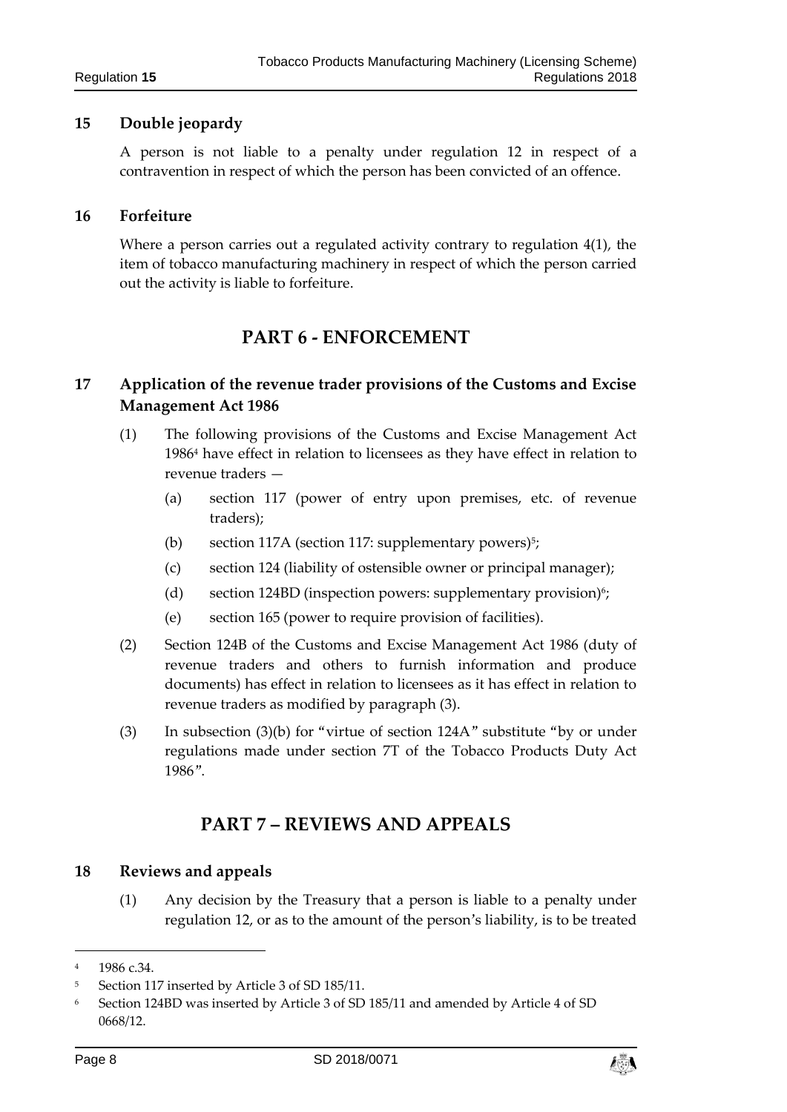#### <span id="page-7-0"></span>**15 Double jeopardy**

A person is not liable to a penalty under regulation 12 in respect of a contravention in respect of which the person has been convicted of an offence.

#### <span id="page-7-1"></span>**16 Forfeiture**

<span id="page-7-2"></span>Where a person carries out a regulated activity contrary to regulation  $4(1)$ , the item of tobacco manufacturing machinery in respect of which the person carried out the activity is liable to forfeiture.

# **PART 6 - ENFORCEMENT**

## <span id="page-7-3"></span>**17 Application of the revenue trader provisions of the Customs and Excise Management Act 1986**

- (1) The following provisions of the Customs and Excise Management Act 1986<sup>4</sup> have effect in relation to licensees as they have effect in relation to revenue traders —
	- (a) section 117 (power of entry upon premises, etc. of revenue traders);
	- (b) section 117A (section 117: supplementary powers)<sup>5</sup>;
	- (c) section 124 (liability of ostensible owner or principal manager);
	- (d) section 124BD (inspection powers: supplementary provision)<sup>6</sup>;
	- (e) section 165 (power to require provision of facilities).
- (2) Section 124B of the Customs and Excise Management Act 1986 (duty of revenue traders and others to furnish information and produce documents) has effect in relation to licensees as it has effect in relation to revenue traders as modified by paragraph (3).
- <span id="page-7-4"></span>(3) In subsection (3)(b) for "virtue of section 124A" substitute "by or under regulations made under section 7T of the Tobacco Products Duty Act 1986".

# **PART 7 – REVIEWS AND APPEALS**

#### <span id="page-7-5"></span>**18 Reviews and appeals**

(1) Any decision by the Treasury that a person is liable to a penalty under regulation 12, or as to the amount of the person's liability, is to be treated

1



<sup>4</sup> 1986 c.34.

<sup>5</sup> Section 117 inserted by Article 3 of SD 185/11.

<sup>6</sup> Section 124BD was inserted by Article 3 of SD 185/11 and amended by Article 4 of SD 0668/12.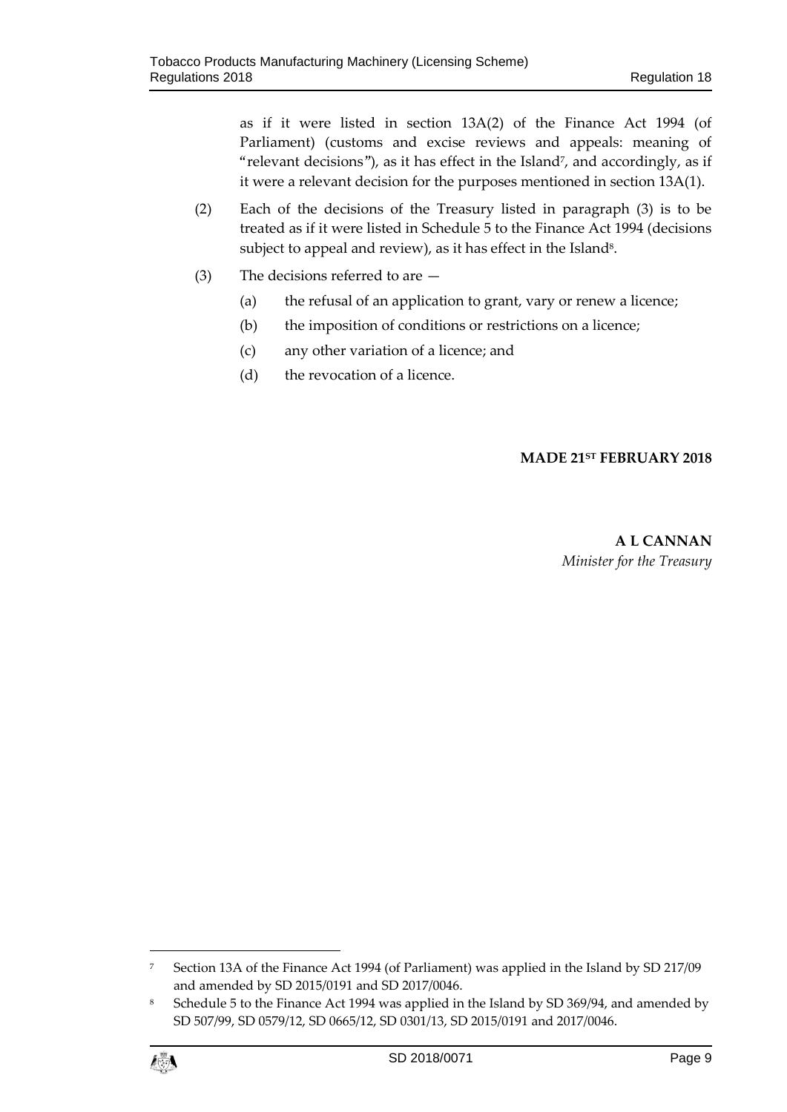as if it were listed in section 13A(2) of the Finance Act 1994 (of Parliament) (customs and excise reviews and appeals: meaning of "relevant decisions"), as it has effect in the Island<sup>7</sup> , and accordingly, as if it were a relevant decision for the purposes mentioned in section 13A(1).

- (2) Each of the decisions of the Treasury listed in paragraph (3) is to be treated as if it were listed in Schedule 5 to the Finance Act 1994 (decisions subject to appeal and review), as it has effect in the Island $^{\rm 8}$ .
- (3) The decisions referred to are
	- (a) the refusal of an application to grant, vary or renew a licence;
	- (b) the imposition of conditions or restrictions on a licence;
	- (c) any other variation of a licence; and
	- (d) the revocation of a licence.

# **MADE 21ST FEBRUARY 2018**

**A L CANNAN** *Minister for the Treasury*

<sup>8</sup> Schedule 5 to the Finance Act 1994 was applied in the Island by SD 369/94, and amended by SD 507/99, SD 0579/12, SD 0665/12, SD 0301/13, SD 2015/0191 and 2017/0046.

![](_page_8_Picture_13.jpeg)

 $\overline{a}$ 

<sup>7</sup> Section 13A of the Finance Act 1994 (of Parliament) was applied in the Island by SD 217/09 and amended by SD 2015/0191 and SD 2017/0046.